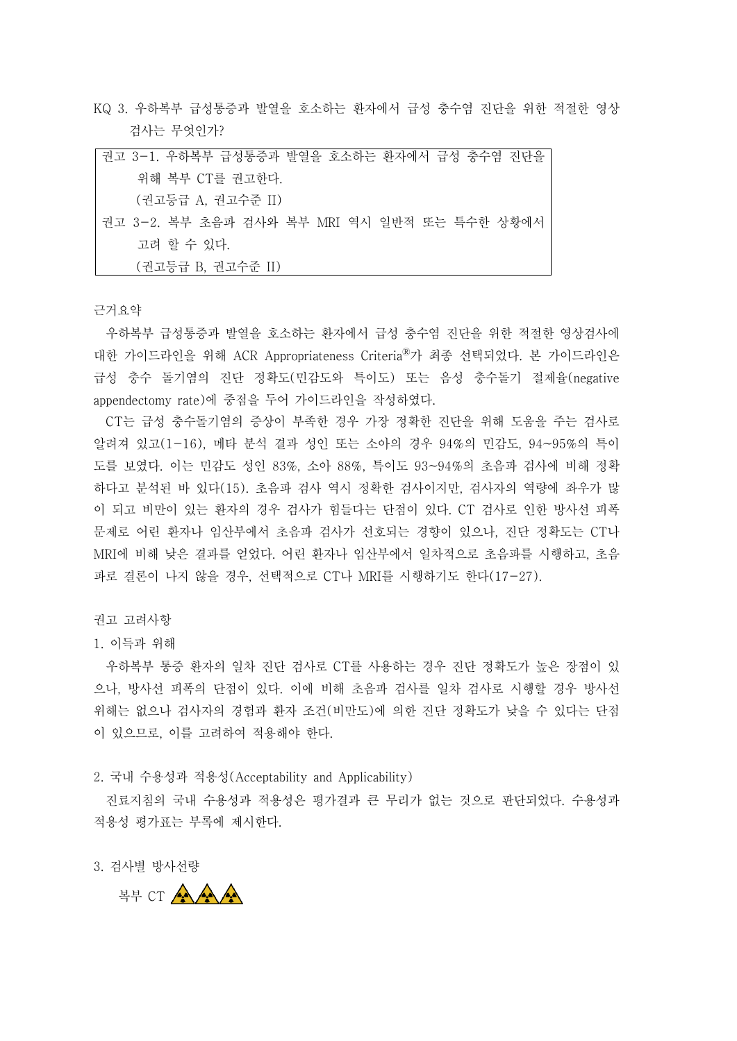KQ 3. 우하복부 급성통증과 발열을 호소하는 환자에서 급성 충수염 진단을 위한 적절한 영상 검사는 무엇인가?

| 권고 3-1. 우하복부 급성통증과 발열을 호소하는 환자에서 급성 충수염 진단을  |
|----------------------------------------------|
| 위해 복부 CT를 권고한다.                              |
| (권고등급 A, 권고수준 II)                            |
| 권고 3-2. 복부 초음파 검사와 복부 MRI 역시 일반적 또는 특수한 상황에서 |
| 고려 할 수 있다.                                   |
| (권고등급 B, 권고수준 II)                            |

근거요약

우하복부 급성통증과 발열을 호소하는 환자에서 급성 충수염 진단을 위한 적절한 영상검사에 대한 가이드라인을 위해 ACR Appropriateness Criteria<sup>®</sup>가 최종 선택되었다. 본 가이드라인은 급성 충수 돌기염의 진단 정확도(민감도와 특이도) 또는 음성 충수돌기 절제율(negative appendectomy rate)에 중점을 두어 가이드라인을 작성하였다. CT는 급성 충수돌기염의 증상이 부족한 경우 가장 정확한 진단을 위해 도움을 주는 검사로

알려져 있고(1-16), 메타 분석 결과 성인 또는 소아의 경우 94%의 민감도, 94~95%의 특이 도를 보였다. 이는 민감도 성인 83%, 소아 88%, 특이도 93~94%의 초음파 검사에 비해 정확 하다고 분석된 바 있다(15). 초음파 검사 역시 정확한 검사이지만, 검사자의 역량에 좌우가 많 이 되고 비만이 있는 환자의 경우 검사가 힘들다는 단점이 있다. CT 검사로 인한 방사선 피폭 문제로 어린 환자나 임산부에서 초음파 검사가 선호되는 경향이 있으나, 진단 정확도는 CT나 MRI에 비해 낮은 결과를 얻었다. 어린 환자나 임산부에서 일차적으로 초음파를 시행하고, 초음 파로 결론이 나지 않을 경우, 선택적으로 CT나 MRI를 시행하기도 한다(17-27).

권고 고려사항

## 1. 이득과 위해

우하복부 통증 환자의 일차 진단 검사로 CT를 사용하는 경우 진단 정확도가 높은 장점이 있 으나, 방사선 피폭의 단점이 있다. 이에 비해 초음파 검사를 일차 검사로 시행할 경우 방사선 위해는 없으나 검사자의 경험과 환자 조건(비만도)에 의한 진단 정확도가 낮을 수 있다는 단점 이 있으므로, 이를 고려하여 적용해야 한다.<br>2. 국내 수용성과 적용성(Acceptability and Applicability)

진료지침의 국내 수용성과 적용성은 평가결과 큰 무리가 없는 것으로 판단되었다. 수용성과 적용성 평가표는 부록에 제시한다.<br><br>3. 검사별 방사선량

복부 CT A A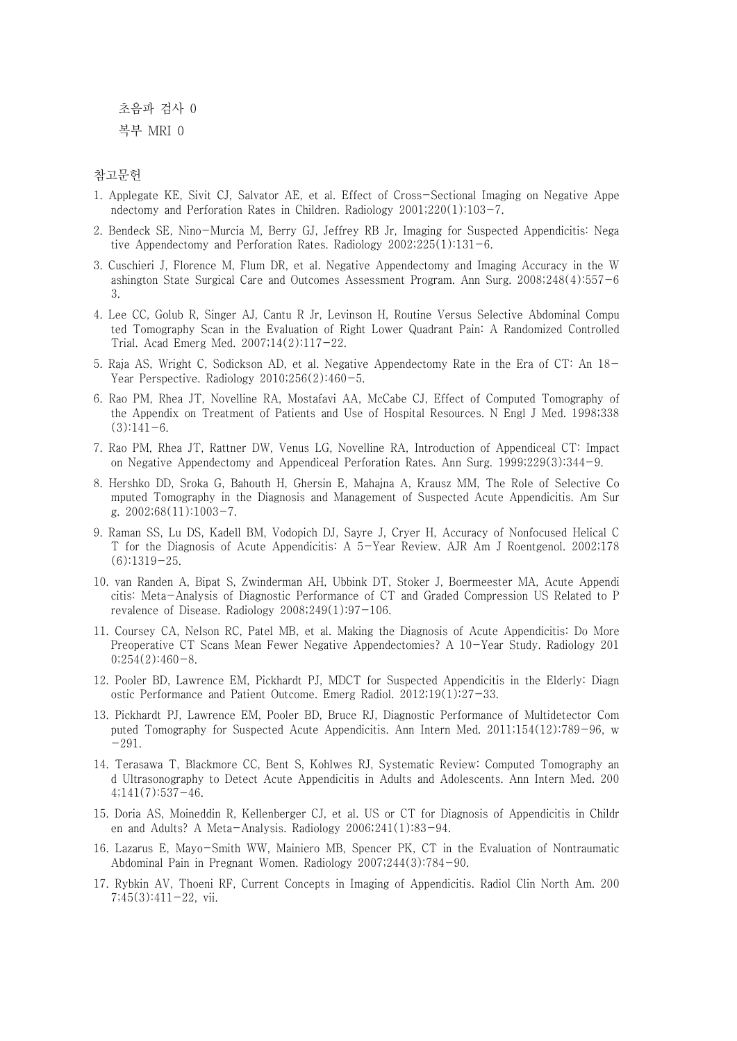초음파 검사 0 복부 MRI 0

참고문헌

- 1. Applegate KE, Sivit CJ, Salvator AE, et al. Effect of Cross-Sectional Imaging on Negative Appe ndectomy and Perforation Rates in Children. Radiology 2001;220(1):103-7.
- 2. Bendeck SE, Nino-Murcia M, Berry GJ, Jeffrey RB Jr, Imaging for Suspected Appendicitis: Nega tive Appendectomy and Perforation Rates. Radiology 2002;225(1):131-6.
- 3. Cuschieri J, Florence M, Flum DR, et al. Negative Appendectomy and Imaging Accuracy in the W ashington State Surgical Care and Outcomes Assessment Program. Ann Surg. 2008;248(4):557-6 3.
- 4. Lee CC, Golub R, Singer AJ, Cantu R Jr, Levinson H, Routine Versus Selective Abdominal Compu ted Tomography Scan in the Evaluation of Right Lower Quadrant Pain: A Randomized Controlled Trial. Acad Emerg Med. 2007;14(2):117-22.
- 5. Raja AS, Wright C, Sodickson AD, et al. Negative Appendectomy Rate in the Era of CT: An 18- Year Perspective. Radiology 2010;256(2):460-5.
- 6. Rao PM, Rhea JT, Novelline RA, Mostafavi AA, McCabe CJ, Effect of Computed Tomography of the Appendix on Treatment of Patients and Use of Hospital Resources. N Engl J Med. 1998;338  $(3):141-6.$
- 7. Rao PM, Rhea JT, Rattner DW, Venus LG, Novelline RA, Introduction of Appendiceal CT: Impact on Negative Appendectomy and Appendiceal Perforation Rates. Ann Surg. 1999;229(3):344-9.
- 8. Hershko DD, Sroka G, Bahouth H, Ghersin E, Mahajna A, Krausz MM, The Role of Selective Co mputed Tomography in the Diagnosis and Management of Suspected Acute Appendicitis. Am Sur g. 2002;68(11):1003-7.
- 9. Raman SS, Lu DS, Kadell BM, Vodopich DJ, Sayre J, Cryer H, Accuracy of Nonfocused Helical C T for the Diagnosis of Acute Appendicitis: A 5-Year Review. AJR Am J Roentgenol. 2002;178 (6):1319-25.
- 10. van Randen A, Bipat S, Zwinderman AH, Ubbink DT, Stoker J, Boermeester MA, Acute Appendi citis: Meta-Analysis of Diagnostic Performance of CT and Graded Compression US Related to P revalence of Disease. Radiology  $2008;249(1):97-106$ .
- 11. Coursey CA, Nelson RC, Patel MB, et al. Making the Diagnosis of Acute Appendicitis: Do More Preoperative CT Scans Mean Fewer Negative Appendectomies? A 10-Year Study. Radiology 201  $0;254(2):460-8.$
- 12. Pooler BD, Lawrence EM, Pickhardt PJ, MDCT for Suspected Appendicitis in the Elderly: Diagn ostic Performance and Patient Outcome. Emerg Radiol. 2012;19(1):27-33.
- 13. Pickhardt PJ, Lawrence EM, Pooler BD, Bruce RJ, Diagnostic Performance of Multidetector Com puted Tomography for Suspected Acute Appendicitis. Ann Intern Med. 2011;154(12):789-96, w  $-291.$
- 14. Terasawa T, Blackmore CC, Bent S, Kohlwes RJ, Systematic Review: Computed Tomography an d Ultrasonography to Detect Acute Appendicitis in Adults and Adolescents. Ann Intern Med. 200  $4;141(7):537-46.$
- 15. Doria AS, Moineddin R, Kellenberger CJ, et al. US or CT for Diagnosis of Appendicitis in Childr en and Adults? A Meta-Analysis. Radiology 2006;241(1):83-94.
- 16. Lazarus E, Mayo-Smith WW, Mainiero MB, Spencer PK, CT in the Evaluation of Nontraumatic Abdominal Pain in Pregnant Women. Radiology 2007;244(3):784-90.
- 17. Rybkin AV, Thoeni RF, Current Concepts in Imaging of Appendicitis. Radiol Clin North Am. 200 7;45(3):411-22, vii.